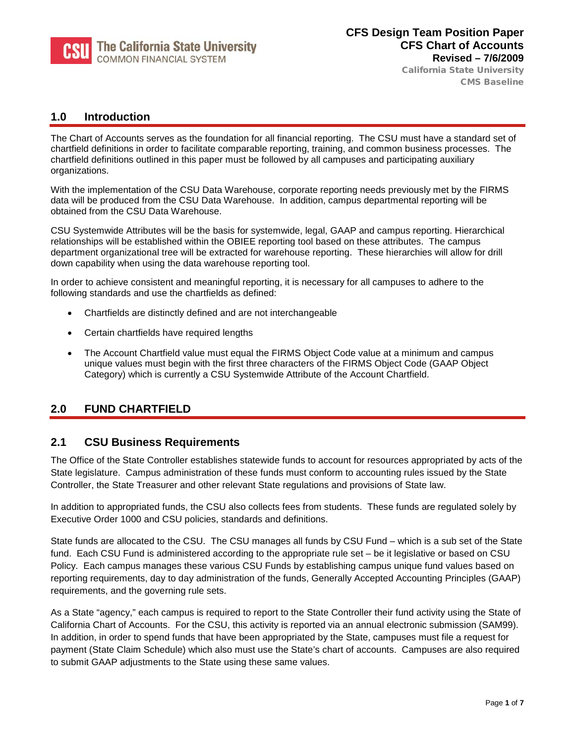

California State University CMS Baseline

### **1.0 Introduction**

The Chart of Accounts serves as the foundation for all financial reporting. The CSU must have a standard set of chartfield definitions in order to facilitate comparable reporting, training, and common business processes. The chartfield definitions outlined in this paper must be followed by all campuses and participating auxiliary organizations.

With the implementation of the CSU Data Warehouse, corporate reporting needs previously met by the FIRMS data will be produced from the CSU Data Warehouse. In addition, campus departmental reporting will be obtained from the CSU Data Warehouse.

CSU Systemwide Attributes will be the basis for systemwide, legal, GAAP and campus reporting. Hierarchical relationships will be established within the OBIEE reporting tool based on these attributes. The campus department organizational tree will be extracted for warehouse reporting. These hierarchies will allow for drill down capability when using the data warehouse reporting tool.

In order to achieve consistent and meaningful reporting, it is necessary for all campuses to adhere to the following standards and use the chartfields as defined:

- Chartfields are distinctly defined and are not interchangeable
- Certain chartfields have required lengths
- The Account Chartfield value must equal the FIRMS Object Code value at a minimum and campus unique values must begin with the first three characters of the FIRMS Object Code (GAAP Object Category) which is currently a CSU Systemwide Attribute of the Account Chartfield.

# **2.0 FUND CHARTFIELD**

## **2.1 CSU Business Requirements**

The Office of the State Controller establishes statewide funds to account for resources appropriated by acts of the State legislature. Campus administration of these funds must conform to accounting rules issued by the State Controller, the State Treasurer and other relevant State regulations and provisions of State law.

In addition to appropriated funds, the CSU also collects fees from students. These funds are regulated solely by Executive Order 1000 and CSU policies, standards and definitions.

State funds are allocated to the CSU. The CSU manages all funds by CSU Fund – which is a sub set of the State fund. Each CSU Fund is administered according to the appropriate rule set – be it legislative or based on CSU Policy. Each campus manages these various CSU Funds by establishing campus unique fund values based on reporting requirements, day to day administration of the funds, Generally Accepted Accounting Principles (GAAP) requirements, and the governing rule sets.

As a State "agency," each campus is required to report to the State Controller their fund activity using the State of California Chart of Accounts. For the CSU, this activity is reported via an annual electronic submission (SAM99). In addition, in order to spend funds that have been appropriated by the State, campuses must file a request for payment (State Claim Schedule) which also must use the State's chart of accounts. Campuses are also required to submit GAAP adjustments to the State using these same values.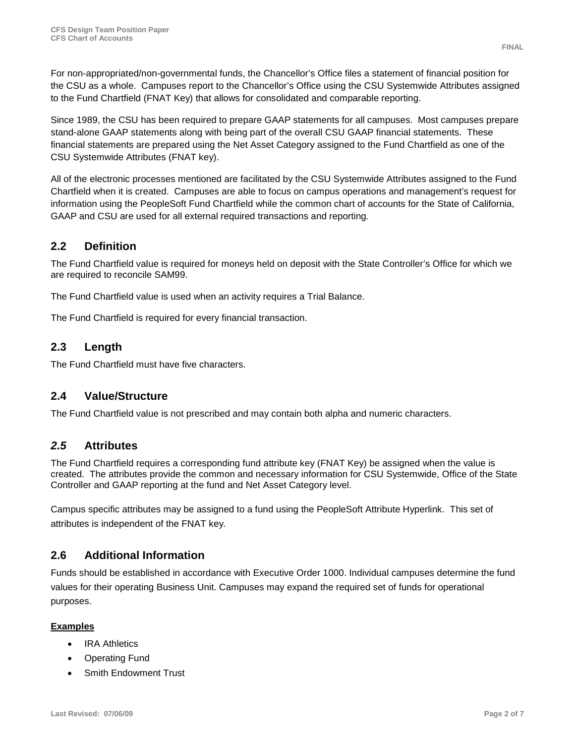For non-appropriated/non-governmental funds, the Chancellor's Office files a statement of financial position for the CSU as a whole. Campuses report to the Chancellor's Office using the CSU Systemwide Attributes assigned to the Fund Chartfield (FNAT Key) that allows for consolidated and comparable reporting.

Since 1989, the CSU has been required to prepare GAAP statements for all campuses. Most campuses prepare stand-alone GAAP statements along with being part of the overall CSU GAAP financial statements. These financial statements are prepared using the Net Asset Category assigned to the Fund Chartfield as one of the CSU Systemwide Attributes (FNAT key).

All of the electronic processes mentioned are facilitated by the CSU Systemwide Attributes assigned to the Fund Chartfield when it is created. Campuses are able to focus on campus operations and management's request for information using the PeopleSoft Fund Chartfield while the common chart of accounts for the State of California, GAAP and CSU are used for all external required transactions and reporting.

### **2.2 Definition**

The Fund Chartfield value is required for moneys held on deposit with the State Controller's Office for which we are required to reconcile SAM99.

The Fund Chartfield value is used when an activity requires a Trial Balance.

The Fund Chartfield is required for every financial transaction.

### **2.3 Length**

The Fund Chartfield must have five characters.

### **2.4 Value/Structure**

The Fund Chartfield value is not prescribed and may contain both alpha and numeric characters.

### *2.5* **Attributes**

The Fund Chartfield requires a corresponding fund attribute key (FNAT Key) be assigned when the value is created. The attributes provide the common and necessary information for CSU Systemwide, Office of the State Controller and GAAP reporting at the fund and Net Asset Category level.

Campus specific attributes may be assigned to a fund using the PeopleSoft Attribute Hyperlink. This set of attributes is independent of the FNAT key.

### **2.6 Additional Information**

Funds should be established in accordance with Executive Order 1000. Individual campuses determine the fund values for their operating Business Unit. Campuses may expand the required set of funds for operational purposes.

#### **Examples**

- IRA Athletics
- Operating Fund
- Smith Endowment Trust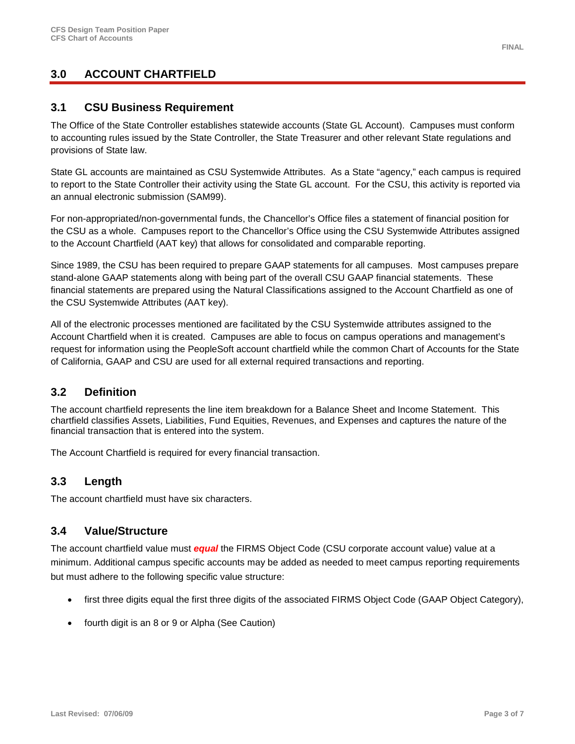# **3.0 ACCOUNT CHARTFIELD**

### **3.1 CSU Business Requirement**

The Office of the State Controller establishes statewide accounts (State GL Account). Campuses must conform to accounting rules issued by the State Controller, the State Treasurer and other relevant State regulations and provisions of State law.

State GL accounts are maintained as CSU Systemwide Attributes. As a State "agency," each campus is required to report to the State Controller their activity using the State GL account. For the CSU, this activity is reported via an annual electronic submission (SAM99).

For non-appropriated/non-governmental funds, the Chancellor's Office files a statement of financial position for the CSU as a whole. Campuses report to the Chancellor's Office using the CSU Systemwide Attributes assigned to the Account Chartfield (AAT key) that allows for consolidated and comparable reporting.

Since 1989, the CSU has been required to prepare GAAP statements for all campuses. Most campuses prepare stand-alone GAAP statements along with being part of the overall CSU GAAP financial statements. These financial statements are prepared using the Natural Classifications assigned to the Account Chartfield as one of the CSU Systemwide Attributes (AAT key).

All of the electronic processes mentioned are facilitated by the CSU Systemwide attributes assigned to the Account Chartfield when it is created. Campuses are able to focus on campus operations and management's request for information using the PeopleSoft account chartfield while the common Chart of Accounts for the State of California, GAAP and CSU are used for all external required transactions and reporting.

### **3.2 Definition**

The account chartfield represents the line item breakdown for a Balance Sheet and Income Statement. This chartfield classifies Assets, Liabilities, Fund Equities, Revenues, and Expenses and captures the nature of the financial transaction that is entered into the system.

The Account Chartfield is required for every financial transaction.

### **3.3 Length**

The account chartfield must have six characters.

### **3.4 Value/Structure**

The account chartfield value must *equal* the FIRMS Object Code (CSU corporate account value) value at a minimum. Additional campus specific accounts may be added as needed to meet campus reporting requirements but must adhere to the following specific value structure:

- first three digits equal the first three digits of the associated FIRMS Object Code (GAAP Object Category),
- fourth digit is an 8 or 9 or Alpha (See Caution)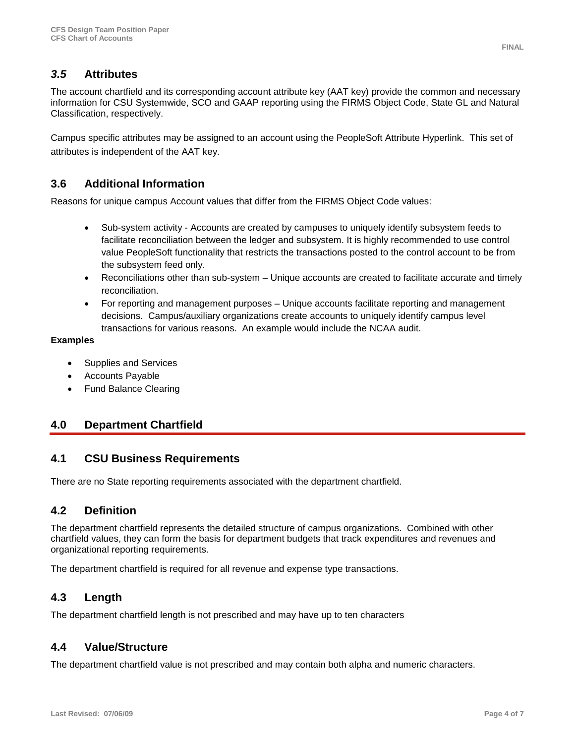# *3.5* **Attributes**

The account chartfield and its corresponding account attribute key (AAT key) provide the common and necessary information for CSU Systemwide, SCO and GAAP reporting using the FIRMS Object Code, State GL and Natural Classification, respectively.

Campus specific attributes may be assigned to an account using the PeopleSoft Attribute Hyperlink. This set of attributes is independent of the AAT key.

## **3.6 Additional Information**

Reasons for unique campus Account values that differ from the FIRMS Object Code values:

- Sub-system activity Accounts are created by campuses to uniquely identify subsystem feeds to facilitate reconciliation between the ledger and subsystem. It is highly recommended to use control value PeopleSoft functionality that restricts the transactions posted to the control account to be from the subsystem feed only.
- Reconciliations other than sub-system Unique accounts are created to facilitate accurate and timely reconciliation.
- For reporting and management purposes Unique accounts facilitate reporting and management decisions. Campus/auxiliary organizations create accounts to uniquely identify campus level transactions for various reasons. An example would include the NCAA audit.

#### **Examples**

- Supplies and Services
- Accounts Payable
- Fund Balance Clearing

## **4.0 Department Chartfield**

### **4.1 CSU Business Requirements**

There are no State reporting requirements associated with the department chartfield.

### **4.2 Definition**

The department chartfield represents the detailed structure of campus organizations. Combined with other chartfield values, they can form the basis for department budgets that track expenditures and revenues and organizational reporting requirements.

The department chartfield is required for all revenue and expense type transactions.

## **4.3 Length**

The department chartfield length is not prescribed and may have up to ten characters

## **4.4 Value/Structure**

The department chartfield value is not prescribed and may contain both alpha and numeric characters.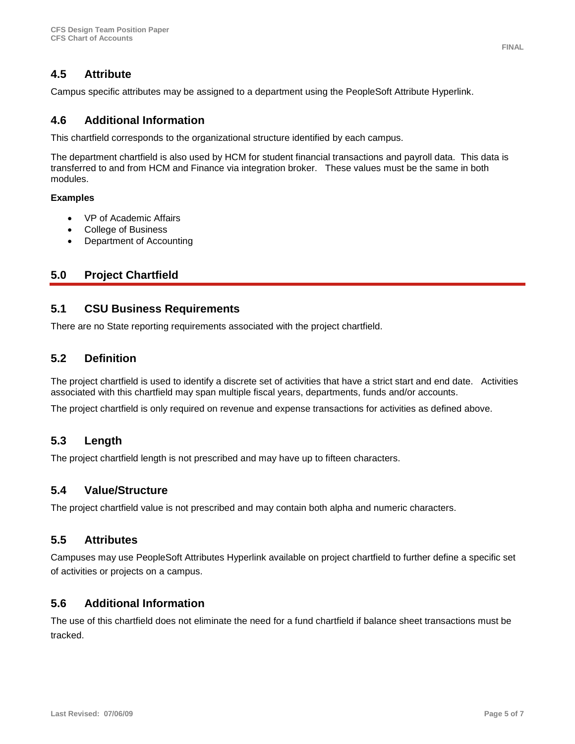# **4.5 Attribute**

Campus specific attributes may be assigned to a department using the PeopleSoft Attribute Hyperlink.

### **4.6 Additional Information**

This chartfield corresponds to the organizational structure identified by each campus.

The department chartfield is also used by HCM for student financial transactions and payroll data. This data is transferred to and from HCM and Finance via integration broker. These values must be the same in both modules.

#### **Examples**

- VP of Academic Affairs
- College of Business
- Department of Accounting

## **5.0 Project Chartfield**

### **5.1 CSU Business Requirements**

There are no State reporting requirements associated with the project chartfield.

#### **5.2 Definition**

The project chartfield is used to identify a discrete set of activities that have a strict start and end date. Activities associated with this chartfield may span multiple fiscal years, departments, funds and/or accounts.

The project chartfield is only required on revenue and expense transactions for activities as defined above.

### **5.3 Length**

The project chartfield length is not prescribed and may have up to fifteen characters.

#### **5.4 Value/Structure**

The project chartfield value is not prescribed and may contain both alpha and numeric characters.

#### **5.5 Attributes**

Campuses may use PeopleSoft Attributes Hyperlink available on project chartfield to further define a specific set of activities or projects on a campus.

### **5.6 Additional Information**

The use of this chartfield does not eliminate the need for a fund chartfield if balance sheet transactions must be tracked.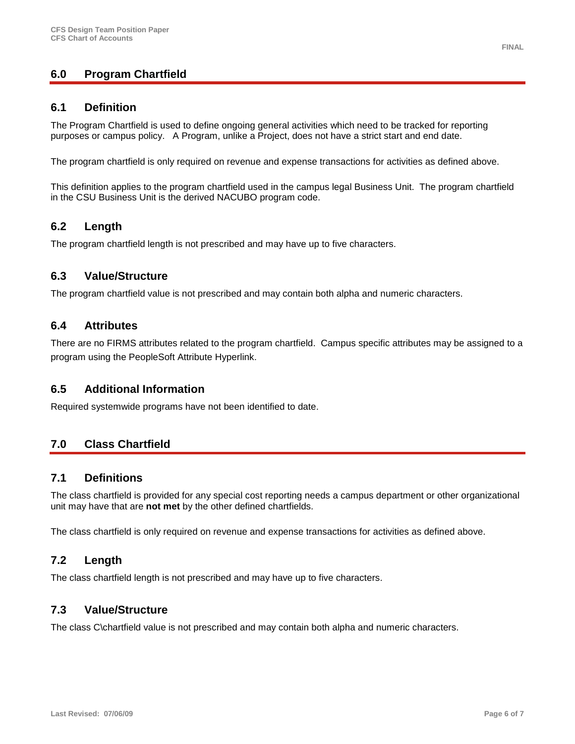# **6.0 Program Chartfield**

### **6.1 Definition**

The Program Chartfield is used to define ongoing general activities which need to be tracked for reporting purposes or campus policy. A Program, unlike a Project, does not have a strict start and end date.

The program chartfield is only required on revenue and expense transactions for activities as defined above.

This definition applies to the program chartfield used in the campus legal Business Unit. The program chartfield in the CSU Business Unit is the derived NACUBO program code.

### **6.2 Length**

The program chartfield length is not prescribed and may have up to five characters.

### **6.3 Value/Structure**

The program chartfield value is not prescribed and may contain both alpha and numeric characters.

#### **6.4 Attributes**

There are no FIRMS attributes related to the program chartfield. Campus specific attributes may be assigned to a program using the PeopleSoft Attribute Hyperlink.

#### **6.5 Additional Information**

Required systemwide programs have not been identified to date.

## **7.0 Class Chartfield**

#### **7.1 Definitions**

The class chartfield is provided for any special cost reporting needs a campus department or other organizational unit may have that are **not met** by the other defined chartfields.

The class chartfield is only required on revenue and expense transactions for activities as defined above.

### **7.2 Length**

The class chartfield length is not prescribed and may have up to five characters.

## **7.3 Value/Structure**

The class C\chartfield value is not prescribed and may contain both alpha and numeric characters.